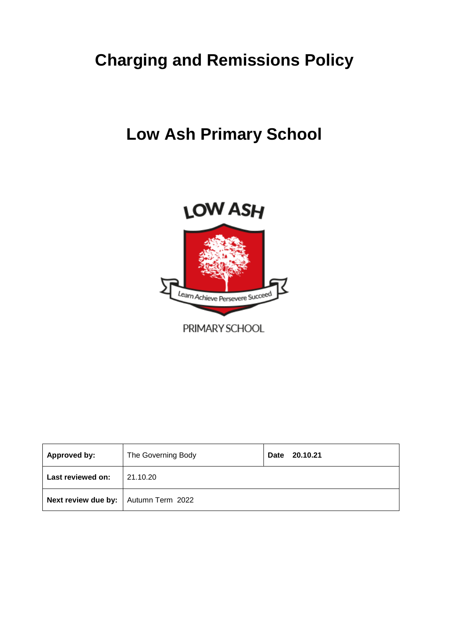# **Charging and Remissions Policy**

# **Low Ash Primary School**



| <b>Approved by:</b>                    | The Governing Body | 20.10.21<br>Date |
|----------------------------------------|--------------------|------------------|
| Last reviewed on:                      | 21.10.20           |                  |
| Next review due by:   Autumn Term 2022 |                    |                  |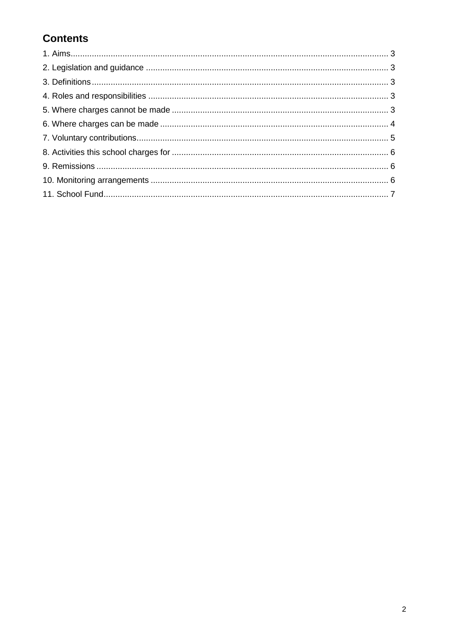# **Contents**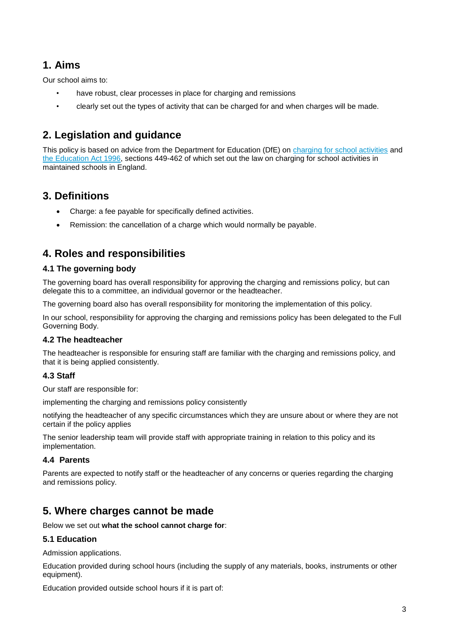## **1. Aims**

Our school aims to:

- have robust, clear processes in place for charging and remissions
- clearly set out the types of activity that can be charged for and when charges will be made.

## **2. Legislation and guidance**

This policy is based on advice from the Department for Education (DfE) on [charging for school activities](https://www.gov.uk/government/publications/charging-for-school-activities) and [the Education Act 1996,](http://www.legislation.gov.uk/ukpga/1996/56/part/VI/chapter/III) sections 449-462 of which set out the law on charging for school activities in maintained schools in England.

## **3. Definitions**

- Charge: a fee payable for specifically defined activities.
- Remission: the cancellation of a charge which would normally be payable.

## **4. Roles and responsibilities**

## **4.1 The governing body**

The governing board has overall responsibility for approving the charging and remissions policy, but can delegate this to a committee, an individual governor or the headteacher.

The governing board also has overall responsibility for monitoring the implementation of this policy.

In our school, responsibility for approving the charging and remissions policy has been delegated to the Full Governing Body.

## **4.2 The headteacher**

The headteacher is responsible for ensuring staff are familiar with the charging and remissions policy, and that it is being applied consistently.

## **4.3 Staff**

Our staff are responsible for:

implementing the charging and remissions policy consistently

notifying the headteacher of any specific circumstances which they are unsure about or where they are not certain if the policy applies

The senior leadership team will provide staff with appropriate training in relation to this policy and its implementation.

## **4.4 Parents**

Parents are expected to notify staff or the headteacher of any concerns or queries regarding the charging and remissions policy.

## **5. Where charges cannot be made**

Below we set out **what the school cannot charge for**:

## **5.1 Education**

Admission applications.

Education provided during school hours (including the supply of any materials, books, instruments or other equipment).

Education provided outside school hours if it is part of: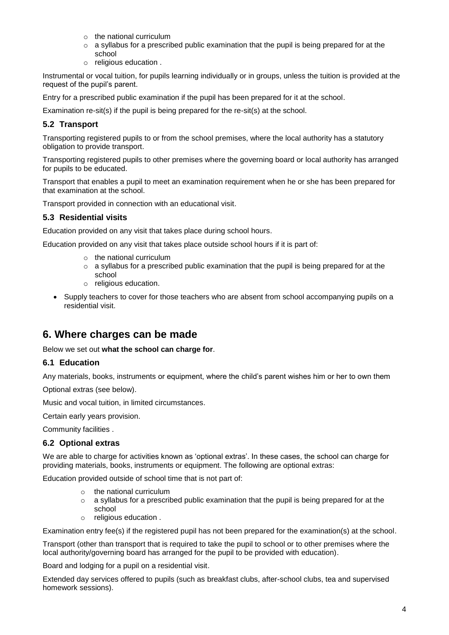- o the national curriculum
- o a syllabus for a prescribed public examination that the pupil is being prepared for at the school
- o religious education .

Instrumental or vocal tuition, for pupils learning individually or in groups, unless the tuition is provided at the request of the pupil's parent.

Entry for a prescribed public examination if the pupil has been prepared for it at the school.

Examination re-sit(s) if the pupil is being prepared for the re-sit(s) at the school.

## **5.2 Transport**

Transporting registered pupils to or from the school premises, where the local authority has a statutory obligation to provide transport.

Transporting registered pupils to other premises where the governing board or local authority has arranged for pupils to be educated.

Transport that enables a pupil to meet an examination requirement when he or she has been prepared for that examination at the school.

Transport provided in connection with an educational visit.

#### **5.3 Residential visits**

Education provided on any visit that takes place during school hours.

Education provided on any visit that takes place outside school hours if it is part of:

- o the national curriculum
- o a syllabus for a prescribed public examination that the pupil is being prepared for at the school
- o religious education.
- Supply teachers to cover for those teachers who are absent from school accompanying pupils on a residential visit.

## **6. Where charges can be made**

Below we set out **what the school can charge for**.

## **6.1 Education**

Any materials, books, instruments or equipment, where the child's parent wishes him or her to own them

Optional extras (see below).

Music and vocal tuition, in limited circumstances.

Certain early years provision.

Community facilities .

#### **6.2 Optional extras**

We are able to charge for activities known as 'optional extras'. In these cases, the school can charge for providing materials, books, instruments or equipment. The following are optional extras:

Education provided outside of school time that is not part of:

- o the national curriculum
- $\circ$  a syllabus for a prescribed public examination that the pupil is being prepared for at the school
- o religious education .

Examination entry fee(s) if the registered pupil has not been prepared for the examination(s) at the school.

Transport (other than transport that is required to take the pupil to school or to other premises where the local authority/governing board has arranged for the pupil to be provided with education).

Board and lodging for a pupil on a residential visit.

Extended day services offered to pupils (such as breakfast clubs, after-school clubs, tea and supervised homework sessions).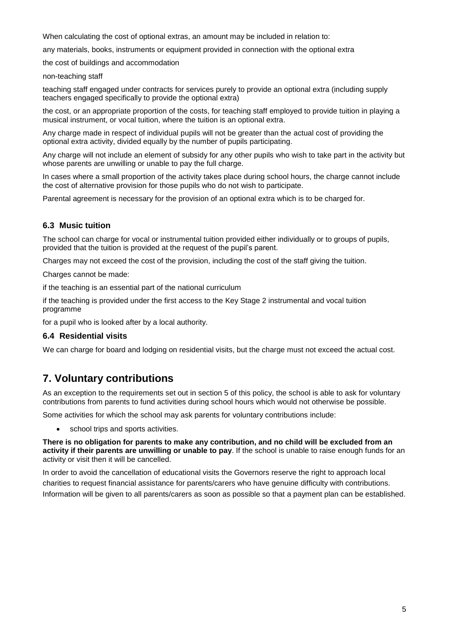When calculating the cost of optional extras, an amount may be included in relation to:

any materials, books, instruments or equipment provided in connection with the optional extra

the cost of buildings and accommodation

#### non-teaching staff

teaching staff engaged under contracts for services purely to provide an optional extra (including supply teachers engaged specifically to provide the optional extra)

the cost, or an appropriate proportion of the costs, for teaching staff employed to provide tuition in playing a musical instrument, or vocal tuition, where the tuition is an optional extra.

Any charge made in respect of individual pupils will not be greater than the actual cost of providing the optional extra activity, divided equally by the number of pupils participating.

Any charge will not include an element of subsidy for any other pupils who wish to take part in the activity but whose parents are unwilling or unable to pay the full charge.

In cases where a small proportion of the activity takes place during school hours, the charge cannot include the cost of alternative provision for those pupils who do not wish to participate.

Parental agreement is necessary for the provision of an optional extra which is to be charged for.

#### **6.3 Music tuition**

The school can charge for vocal or instrumental tuition provided either individually or to groups of pupils, provided that the tuition is provided at the request of the pupil's parent.

Charges may not exceed the cost of the provision, including the cost of the staff giving the tuition.

Charges cannot be made:

if the teaching is an essential part of the national curriculum

if the teaching is provided under the first access to the Key Stage 2 instrumental and vocal tuition programme

for a pupil who is looked after by a local authority.

#### **6.4 Residential visits**

We can charge for board and lodging on residential visits, but the charge must not exceed the actual cost.

## **7. Voluntary contributions**

As an exception to the requirements set out in section 5 of this policy, the school is able to ask for voluntary contributions from parents to fund activities during school hours which would not otherwise be possible.

Some activities for which the school may ask parents for voluntary contributions include:

• school trips and sports activities.

**There is no obligation for parents to make any contribution, and no child will be excluded from an activity if their parents are unwilling or unable to pay**. If the school is unable to raise enough funds for an activity or visit then it will be cancelled.

In order to avoid the cancellation of educational visits the Governors reserve the right to approach local charities to request financial assistance for parents/carers who have genuine difficulty with contributions. Information will be given to all parents/carers as soon as possible so that a payment plan can be established.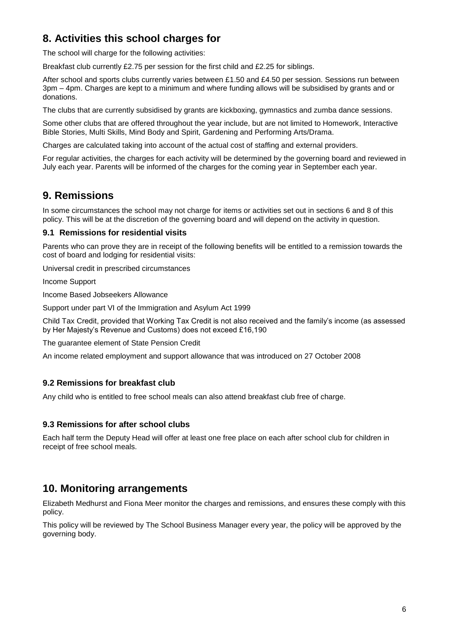## **8. Activities this school charges for**

The school will charge for the following activities:

Breakfast club currently £2.75 per session for the first child and £2.25 for siblings.

After school and sports clubs currently varies between £1.50 and £4.50 per session. Sessions run between 3pm – 4pm. Charges are kept to a minimum and where funding allows will be subsidised by grants and or donations.

The clubs that are currently subsidised by grants are kickboxing, gymnastics and zumba dance sessions.

Some other clubs that are offered throughout the year include, but are not limited to Homework, Interactive Bible Stories, Multi Skills, Mind Body and Spirit, Gardening and Performing Arts/Drama.

Charges are calculated taking into account of the actual cost of staffing and external providers.

For regular activities, the charges for each activity will be determined by the governing board and reviewed in July each year. Parents will be informed of the charges for the coming year in September each year.

## **9. Remissions**

In some circumstances the school may not charge for items or activities set out in sections 6 and 8 of this policy. This will be at the discretion of the governing board and will depend on the activity in question.

#### **9.1 Remissions for residential visits**

Parents who can prove they are in receipt of the following benefits will be entitled to a remission towards the cost of board and lodging for residential visits:

Universal credit in prescribed circumstances

Income Support

Income Based Jobseekers Allowance

Support under part VI of the Immigration and Asylum Act 1999

Child Tax Credit, provided that Working Tax Credit is not also received and the family's income (as assessed by Her Majesty's Revenue and Customs) does not exceed £16,190

The guarantee element of State Pension Credit

An income related employment and support allowance that was introduced on 27 October 2008

## **9.2 Remissions for breakfast club**

Any child who is entitled to free school meals can also attend breakfast club free of charge.

#### **9.3 Remissions for after school clubs**

Each half term the Deputy Head will offer at least one free place on each after school club for children in receipt of free school meals.

## **10. Monitoring arrangements**

Elizabeth Medhurst and Fiona Meer monitor the charges and remissions, and ensures these comply with this policy.

This policy will be reviewed by The School Business Manager every year, the policy will be approved by the governing body.